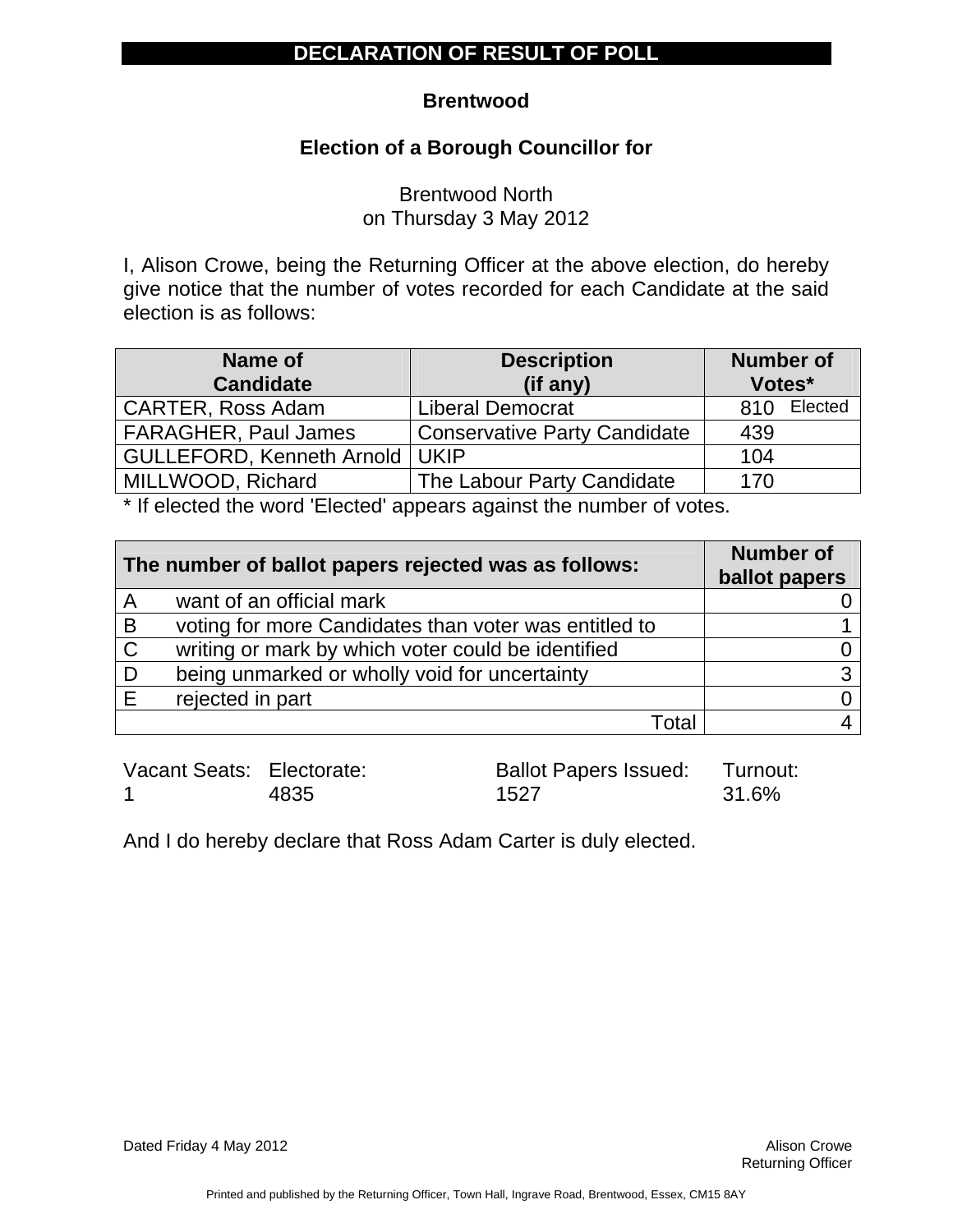#### **Brentwood**

### **Election of a Borough Councillor for**

Brentwood North on Thursday 3 May 2012

I, Alison Crowe, being the Returning Officer at the above election, do hereby give notice that the number of votes recorded for each Candidate at the said election is as follows:

| Name of                     | <b>Description</b>                  | <b>Number of</b> |
|-----------------------------|-------------------------------------|------------------|
| <b>Candidate</b>            | (if any)                            | Votes*           |
| <b>CARTER, Ross Adam</b>    | <b>Liberal Democrat</b>             | Elected<br>810   |
| <b>FARAGHER, Paul James</b> | <b>Conservative Party Candidate</b> | 439              |
| GULLEFORD, Kenneth Arnold   | <b>UKIP</b>                         | 104              |
| MILLWOOD, Richard           | The Labour Party Candidate          | 170              |

\* If elected the word 'Elected' appears against the number of votes.

| The number of ballot papers rejected was as follows: |                                                       | <b>Number of</b><br>ballot papers |
|------------------------------------------------------|-------------------------------------------------------|-----------------------------------|
| A                                                    | want of an official mark                              |                                   |
| B                                                    | voting for more Candidates than voter was entitled to |                                   |
| $\mathsf{C}$                                         | writing or mark by which voter could be identified    |                                   |
|                                                      | being unmarked or wholly void for uncertainty         | 3                                 |
|                                                      | rejected in part                                      |                                   |
|                                                      | Total                                                 |                                   |

| Vacant Seats: Electorate: |      | <b>Ballot Papers Issued: Turnout:</b> |       |
|---------------------------|------|---------------------------------------|-------|
|                           | 4835 | 1527                                  | 31.6% |

And I do hereby declare that Ross Adam Carter is duly elected.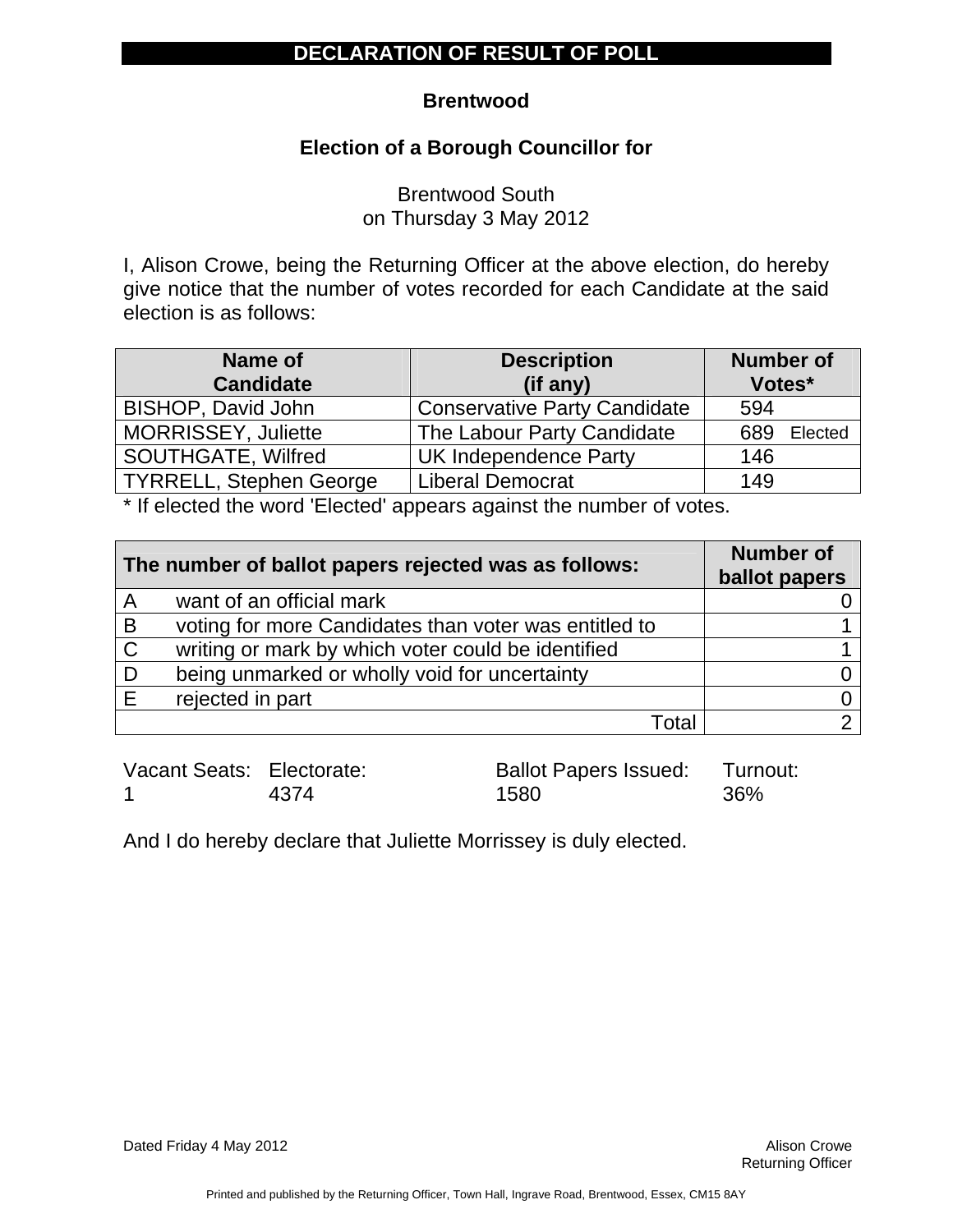#### **Brentwood**

### **Election of a Borough Councillor for**

Brentwood South on Thursday 3 May 2012

I, Alison Crowe, being the Returning Officer at the above election, do hereby give notice that the number of votes recorded for each Candidate at the said election is as follows:

| Name of                 | <b>Description</b>                  | <b>Number of</b> |
|-------------------------|-------------------------------------|------------------|
| <b>Candidate</b>        | (if any)                            | Votes*           |
| BISHOP, David John      | <b>Conservative Party Candidate</b> | 594              |
| MORRISSEY, Juliette     | The Labour Party Candidate          | 689<br>Elected   |
| SOUTHGATE, Wilfred      | <b>UK Independence Party</b>        | 146              |
| TYRRELL, Stephen George | <b>Liberal Democrat</b>             | 149              |

\* If elected the word 'Elected' appears against the number of votes.

| The number of ballot papers rejected was as follows: |                                                       | <b>Number of</b><br>ballot papers |
|------------------------------------------------------|-------------------------------------------------------|-----------------------------------|
| A                                                    | want of an official mark                              |                                   |
| B                                                    | voting for more Candidates than voter was entitled to |                                   |
| $\mathsf{C}$                                         | writing or mark by which voter could be identified    |                                   |
|                                                      | being unmarked or wholly void for uncertainty         |                                   |
|                                                      | rejected in part                                      |                                   |
|                                                      | Total                                                 |                                   |

Vacant Seats: Electorate: 1 4374 Ballot Papers Issued: 1580 Turnout: 36%

And I do hereby declare that Juliette Morrissey is duly elected.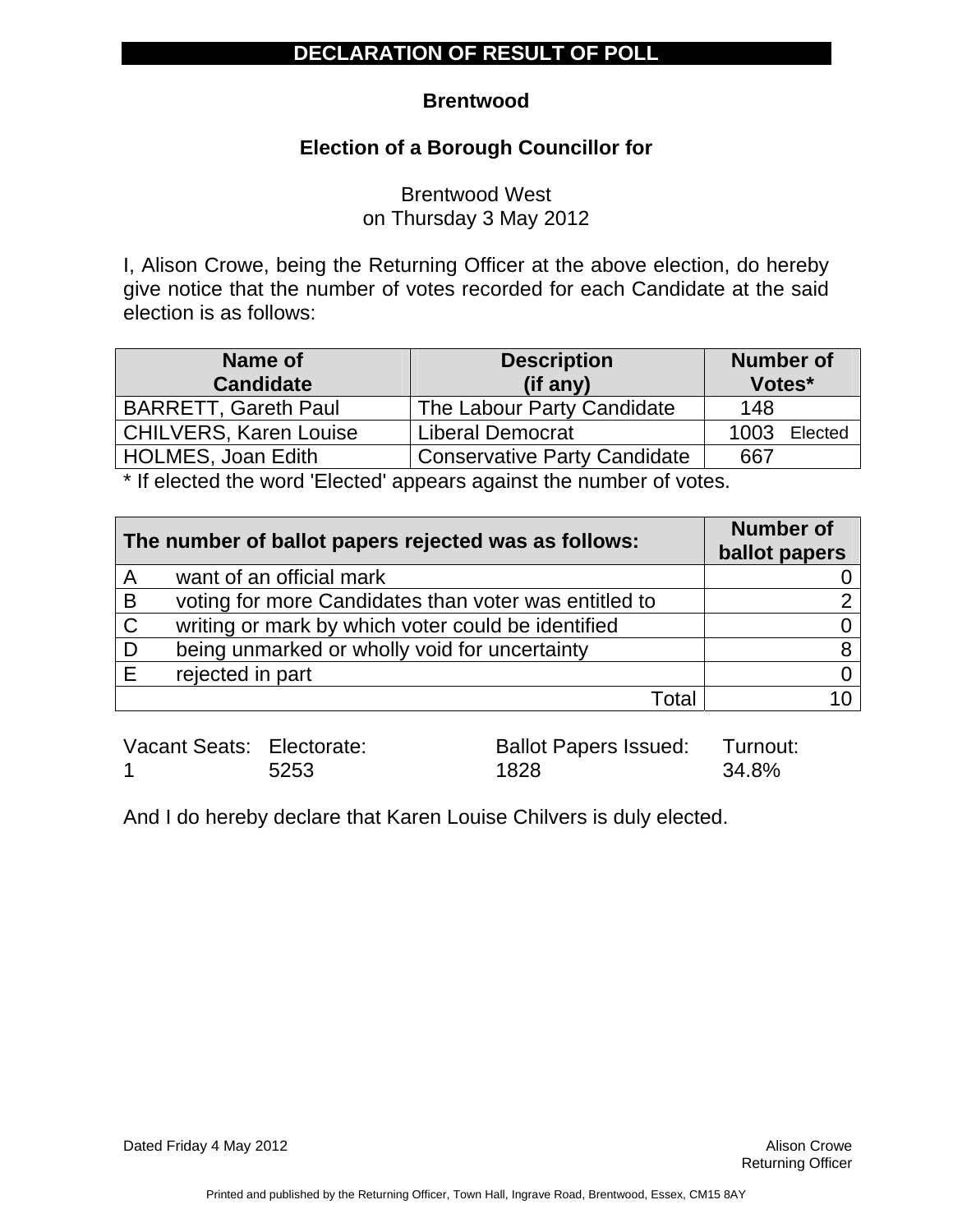#### **Brentwood**

### **Election of a Borough Councillor for**

Brentwood West on Thursday 3 May 2012

I, Alison Crowe, being the Returning Officer at the above election, do hereby give notice that the number of votes recorded for each Candidate at the said election is as follows:

| Name of<br><b>Candidate</b>   | <b>Description</b><br>(if any)      | <b>Number of</b><br>Votes* |
|-------------------------------|-------------------------------------|----------------------------|
| <b>BARRETT, Gareth Paul</b>   | The Labour Party Candidate          | 148                        |
| <b>CHILVERS, Karen Louise</b> | <b>Liberal Democrat</b>             | 1003<br>Elected            |
| HOLMES, Joan Edith            | <b>Conservative Party Candidate</b> | 667                        |

\* If elected the word 'Elected' appears against the number of votes.

| The number of ballot papers rejected was as follows: |                                                       | <b>Number of</b><br>ballot papers |
|------------------------------------------------------|-------------------------------------------------------|-----------------------------------|
| A                                                    | want of an official mark                              |                                   |
| B                                                    | voting for more Candidates than voter was entitled to |                                   |
| $\mathsf{C}$                                         | writing or mark by which voter could be identified    |                                   |
| D                                                    | being unmarked or wholly void for uncertainty         |                                   |
|                                                      | rejected in part                                      |                                   |
|                                                      | Total                                                 |                                   |

Vacant Seats: Electorate: 1 5253

Ballot Papers Issued: 1828 Turnout: 34.8%

And I do hereby declare that Karen Louise Chilvers is duly elected.

Dated Friday 4 May 2012 **Alison Crowe Alison Crowe Alison Crowe**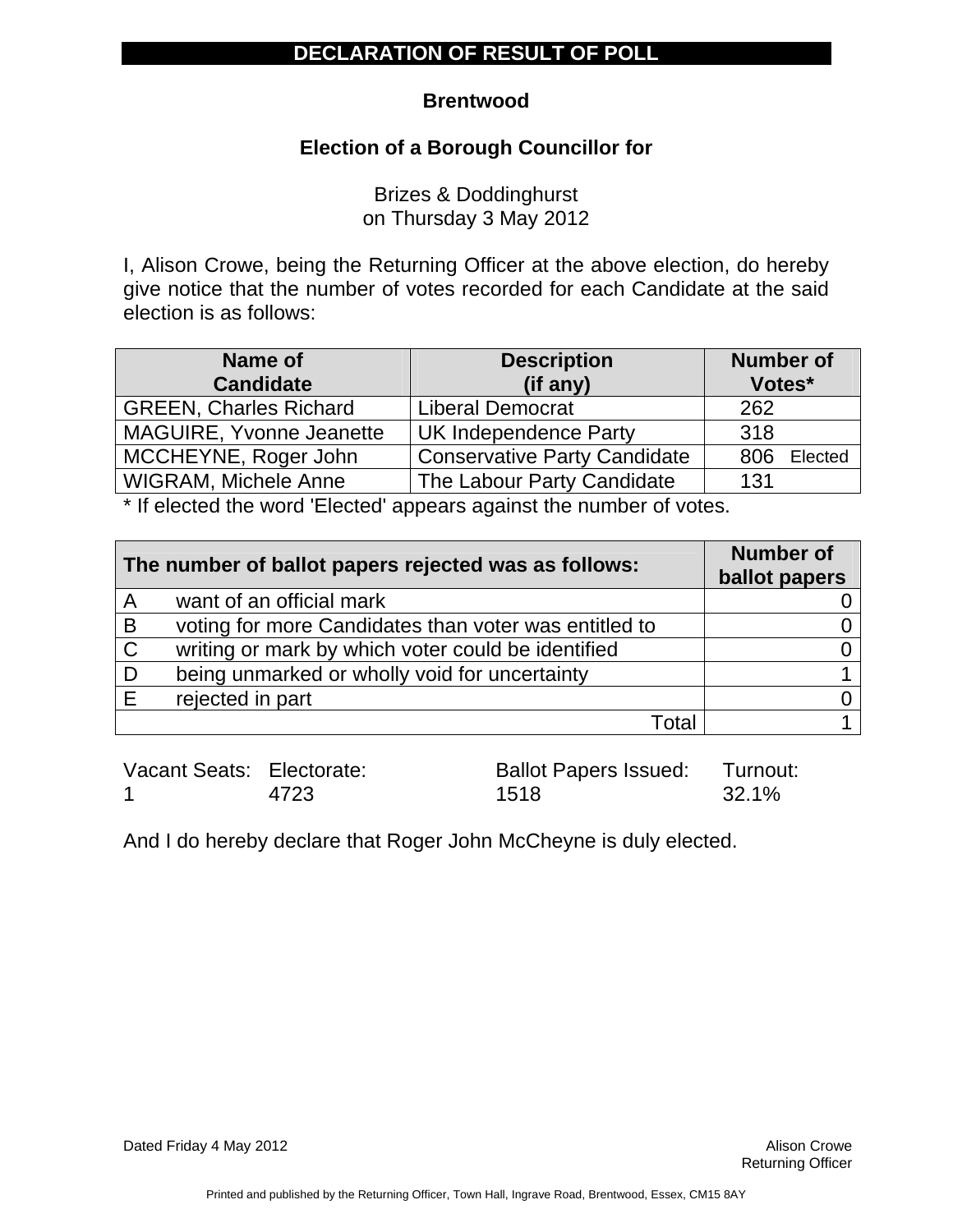#### **Brentwood**

### **Election of a Borough Councillor for**

Brizes & Doddinghurst on Thursday 3 May 2012

I, Alison Crowe, being the Returning Officer at the above election, do hereby give notice that the number of votes recorded for each Candidate at the said election is as follows:

| Name of                       | <b>Description</b>                  | <b>Number of</b> |
|-------------------------------|-------------------------------------|------------------|
| <b>Candidate</b>              | (if any)                            | Votes*           |
| <b>GREEN, Charles Richard</b> | <b>Liberal Democrat</b>             | 262              |
| MAGUIRE, Yvonne Jeanette      | <b>UK Independence Party</b>        | 318              |
| MCCHEYNE, Roger John          | <b>Conservative Party Candidate</b> | Elected<br>806   |
| <b>WIGRAM, Michele Anne</b>   | The Labour Party Candidate          | 131              |

\* If elected the word 'Elected' appears against the number of votes.

| The number of ballot papers rejected was as follows: |                                                       | <b>Number of</b><br>ballot papers |
|------------------------------------------------------|-------------------------------------------------------|-----------------------------------|
| A                                                    | want of an official mark                              |                                   |
| B                                                    | voting for more Candidates than voter was entitled to |                                   |
| $\mathsf{C}$                                         | writing or mark by which voter could be identified    |                                   |
|                                                      | being unmarked or wholly void for uncertainty         |                                   |
|                                                      | rejected in part                                      |                                   |
|                                                      | Total                                                 |                                   |

Vacant Seats: Electorate: 1 4723 Ballot Papers Issued: 1518 Turnout: 32.1%

And I do hereby declare that Roger John McCheyne is duly elected.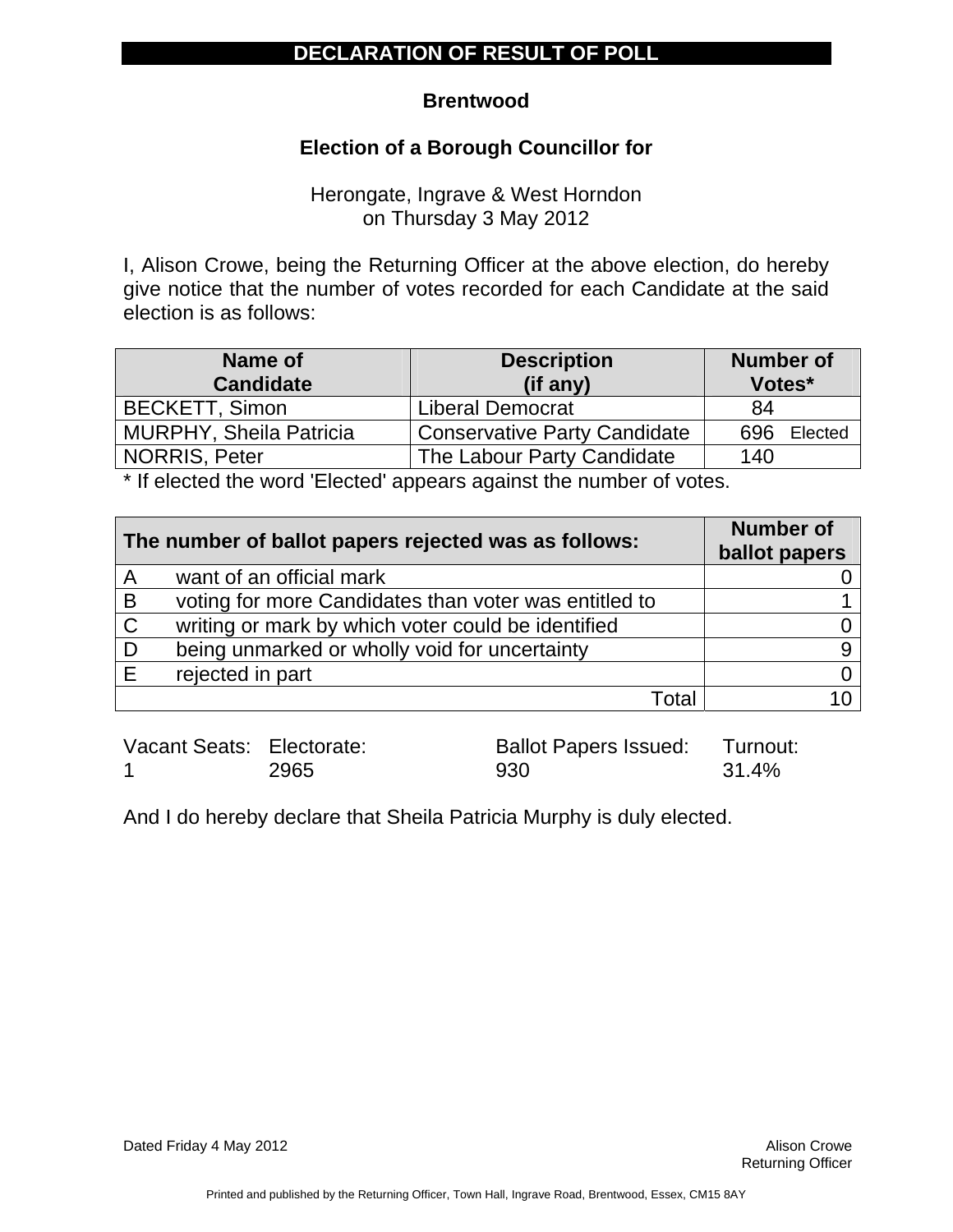#### **Brentwood**

### **Election of a Borough Councillor for**

Herongate, Ingrave & West Horndon on Thursday 3 May 2012

I, Alison Crowe, being the Returning Officer at the above election, do hereby give notice that the number of votes recorded for each Candidate at the said election is as follows:

| Name of<br><b>Candidate</b>    | <b>Description</b><br>(if any)      | <b>Number of</b><br>Votes* |
|--------------------------------|-------------------------------------|----------------------------|
| <b>BECKETT, Simon</b>          | <b>Liberal Democrat</b>             | 84                         |
| <b>MURPHY, Sheila Patricia</b> | <b>Conservative Party Candidate</b> | Elected<br>696             |
| <b>NORRIS, Peter</b>           | The Labour Party Candidate          | 140                        |

\* If elected the word 'Elected' appears against the number of votes.

| The number of ballot papers rejected was as follows: |                                                       | <b>Number of</b><br>ballot papers |
|------------------------------------------------------|-------------------------------------------------------|-----------------------------------|
| A                                                    | want of an official mark                              |                                   |
| B                                                    | voting for more Candidates than voter was entitled to |                                   |
| $\mathsf{C}$                                         | writing or mark by which voter could be identified    |                                   |
| D                                                    | being unmarked or wholly void for uncertainty         |                                   |
|                                                      | rejected in part                                      |                                   |
|                                                      | Total                                                 |                                   |

Vacant Seats: Electorate: 1 2965 Ballot Papers Issued: 930 Turnout: 31.4%

And I do hereby declare that Sheila Patricia Murphy is duly elected.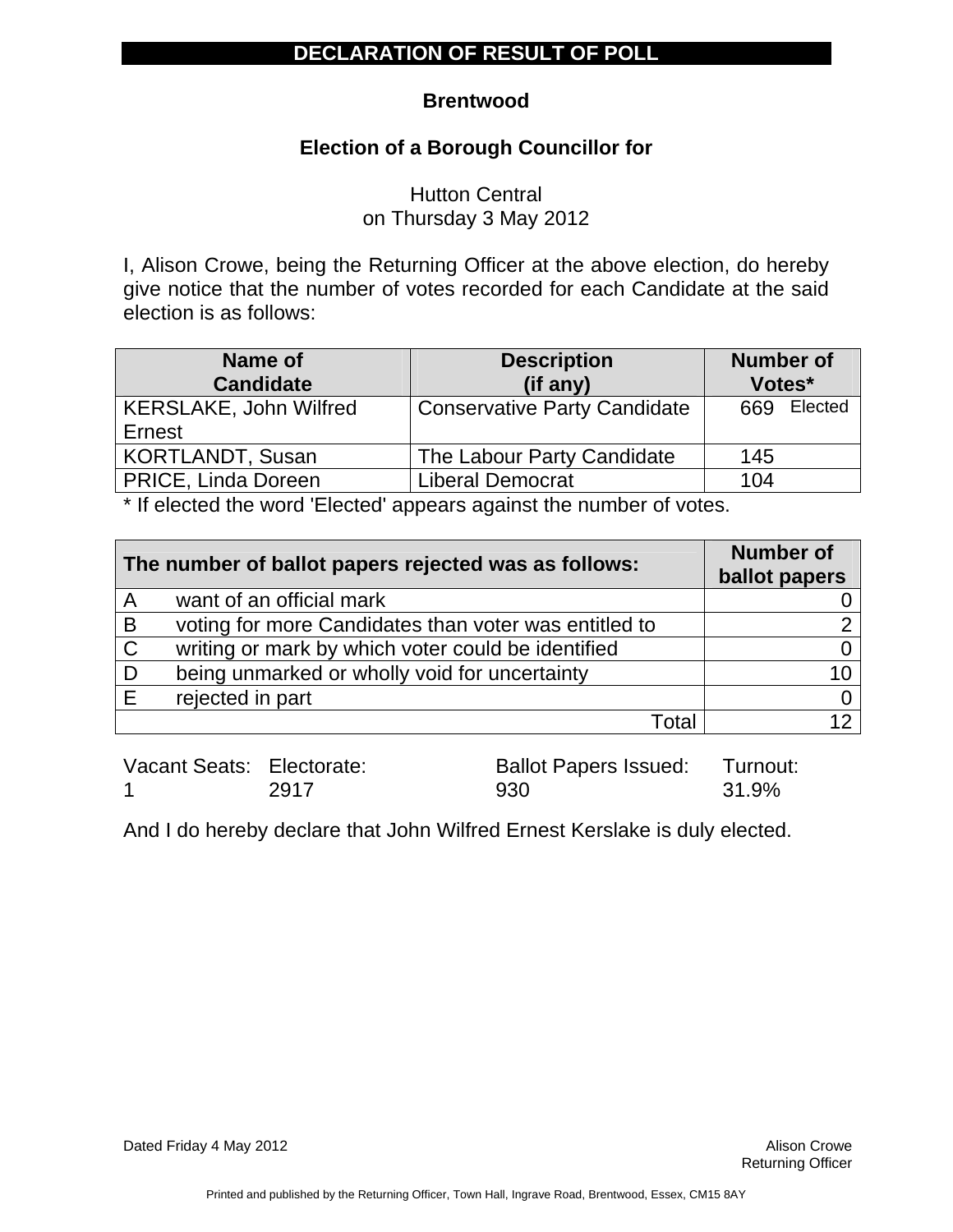#### **Brentwood**

### **Election of a Borough Councillor for**

Hutton Central on Thursday 3 May 2012

I, Alison Crowe, being the Returning Officer at the above election, do hereby give notice that the number of votes recorded for each Candidate at the said election is as follows:

| Name of<br><b>Candidate</b>             | <b>Description</b><br>(if any)      | <b>Number of</b><br>Votes* |
|-----------------------------------------|-------------------------------------|----------------------------|
| <b>KERSLAKE, John Wilfred</b><br>Ernest | <b>Conservative Party Candidate</b> | 669 Elected                |
| <b>KORTLANDT, Susan</b>                 | The Labour Party Candidate          | 145                        |
| PRICE, Linda Doreen                     | <b>Liberal Democrat</b>             | 104                        |

\* If elected the word 'Elected' appears against the number of votes.

|              | The number of ballot papers rejected was as follows:  | <b>Number of</b><br>ballot papers |
|--------------|-------------------------------------------------------|-----------------------------------|
| A            | want of an official mark                              |                                   |
| B            | voting for more Candidates than voter was entitled to | ◠                                 |
| $\mathsf{C}$ | writing or mark by which voter could be identified    |                                   |
|              | being unmarked or wholly void for uncertainty         | 10                                |
|              | rejected in part                                      |                                   |
|              | Total                                                 | 12                                |

| Vacant Seats: Electorate: |      | Ballot Papers Issued: Turnout: |       |
|---------------------------|------|--------------------------------|-------|
|                           | 2917 | 930                            | 31.9% |

And I do hereby declare that John Wilfred Ernest Kerslake is duly elected.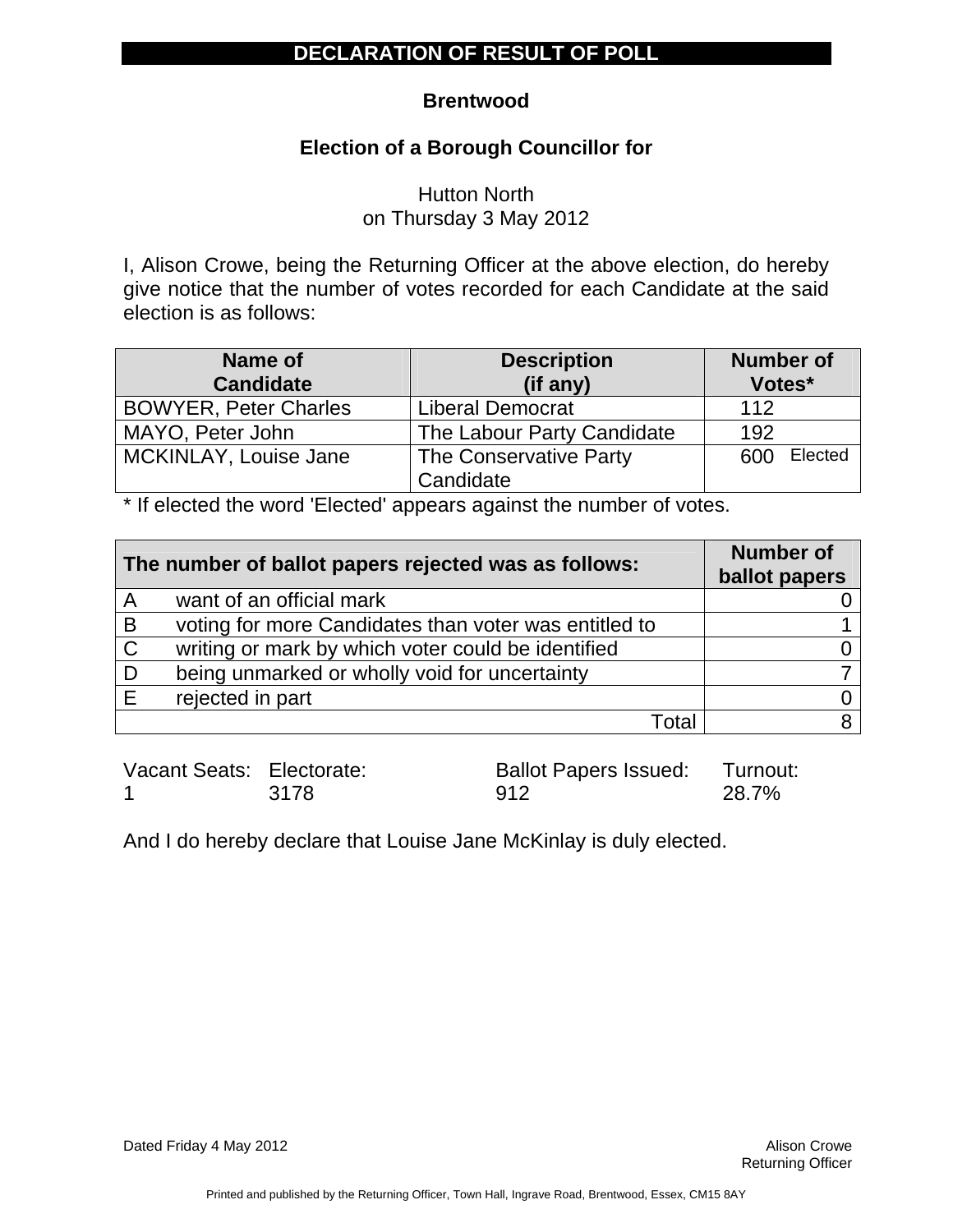### **Brentwood**

## **Election of a Borough Councillor for**

Hutton North on Thursday 3 May 2012

I, Alison Crowe, being the Returning Officer at the above election, do hereby give notice that the number of votes recorded for each Candidate at the said election is as follows:

| Name of<br><b>Candidate</b>  | <b>Description</b><br>(if any) | <b>Number of</b><br>Votes* |  |
|------------------------------|--------------------------------|----------------------------|--|
| <b>BOWYER, Peter Charles</b> | <b>Liberal Democrat</b>        | 112                        |  |
|                              |                                |                            |  |
| MAYO, Peter John             | The Labour Party Candidate     | 192                        |  |
| MCKINLAY, Louise Jane        | The Conservative Party         | Elected<br>600             |  |
|                              | Candidate                      |                            |  |

\* If elected the word 'Elected' appears against the number of votes.

|              | The number of ballot papers rejected was as follows:  | <b>Number of</b><br>ballot papers |
|--------------|-------------------------------------------------------|-----------------------------------|
| A            | want of an official mark                              |                                   |
| B            | voting for more Candidates than voter was entitled to |                                   |
| $\mathsf{C}$ | writing or mark by which voter could be identified    |                                   |
|              | being unmarked or wholly void for uncertainty         |                                   |
|              | rejected in part                                      |                                   |
|              | Total                                                 | R                                 |

Vacant Seats: Electorate: 1 3178 Ballot Papers Issued: 912 Turnout: 28.7%

And I do hereby declare that Louise Jane McKinlay is duly elected.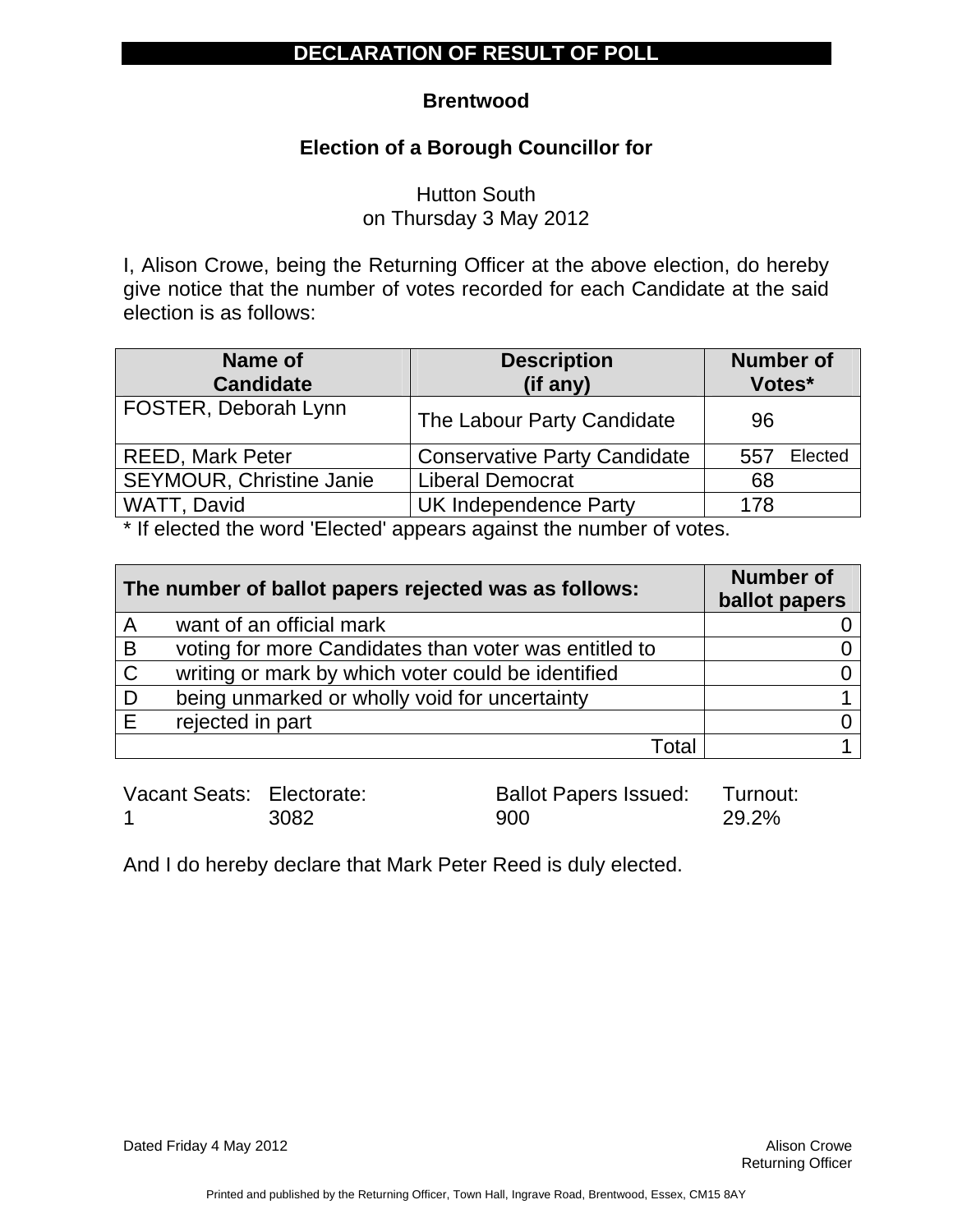### **Brentwood**

## **Election of a Borough Councillor for**

Hutton South on Thursday 3 May 2012

I, Alison Crowe, being the Returning Officer at the above election, do hereby give notice that the number of votes recorded for each Candidate at the said election is as follows:

| Name of<br><b>Candidate</b>     | <b>Description</b><br>(if any)      | <b>Number of</b><br>Votes* |  |
|---------------------------------|-------------------------------------|----------------------------|--|
| FOSTER, Deborah Lynn            | The Labour Party Candidate          | 96                         |  |
| <b>REED, Mark Peter</b>         | <b>Conservative Party Candidate</b> | Elected<br>557             |  |
| <b>SEYMOUR, Christine Janie</b> | <b>Liberal Democrat</b>             | 68                         |  |
| WATT, David                     | <b>UK Independence Party</b>        | 178                        |  |

\* If elected the word 'Elected' appears against the number of votes.

|              | The number of ballot papers rejected was as follows:  | <b>Number of</b><br>ballot papers |
|--------------|-------------------------------------------------------|-----------------------------------|
| A            | want of an official mark                              |                                   |
| B            | voting for more Candidates than voter was entitled to |                                   |
| $\mathsf{C}$ | writing or mark by which voter could be identified    |                                   |
| D            | being unmarked or wholly void for uncertainty         |                                   |
| Е            | rejected in part                                      |                                   |
|              | Total                                                 |                                   |

| Vacant Seats: Electorate: |      | <b>Ballot Papers Issued: Turnout:</b> |       |
|---------------------------|------|---------------------------------------|-------|
|                           | 3082 | 900                                   | 29.2% |

And I do hereby declare that Mark Peter Reed is duly elected.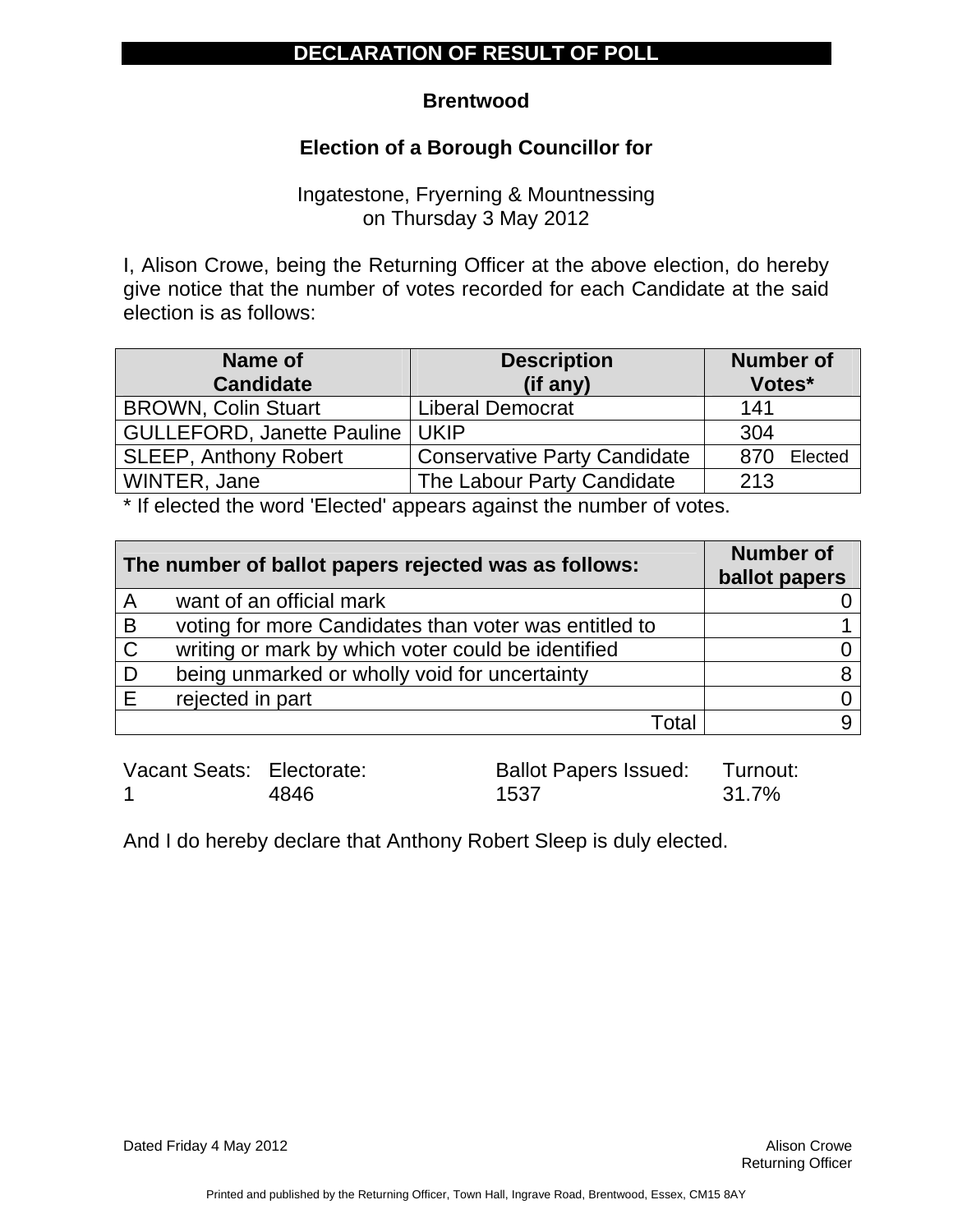#### **Brentwood**

### **Election of a Borough Councillor for**

Ingatestone, Fryerning & Mountnessing on Thursday 3 May 2012

I, Alison Crowe, being the Returning Officer at the above election, do hereby give notice that the number of votes recorded for each Candidate at the said election is as follows:

| <b>Name of</b>                    | <b>Description</b>                  | <b>Number of</b> |  |
|-----------------------------------|-------------------------------------|------------------|--|
| <b>Candidate</b>                  | (if any)                            | Votes*           |  |
| <b>BROWN, Colin Stuart</b>        | <b>Liberal Democrat</b>             | 141              |  |
| <b>GULLEFORD, Janette Pauline</b> | <b>UKIP</b>                         | 304              |  |
| <b>SLEEP, Anthony Robert</b>      | <b>Conservative Party Candidate</b> | Elected<br>870   |  |
| WINTER, Jane                      | The Labour Party Candidate          | 213              |  |

\* If elected the word 'Elected' appears against the number of votes.

|              | The number of ballot papers rejected was as follows:  | <b>Number of</b><br>ballot papers |
|--------------|-------------------------------------------------------|-----------------------------------|
| A            | want of an official mark                              |                                   |
| B            | voting for more Candidates than voter was entitled to |                                   |
| $\mathsf{C}$ | writing or mark by which voter could be identified    |                                   |
|              | being unmarked or wholly void for uncertainty         |                                   |
|              | rejected in part                                      |                                   |
|              | Total                                                 |                                   |

| Vacant Seats: Electorate: |      | <b>Ballot Papers Issued: Turnout:</b> |       |
|---------------------------|------|---------------------------------------|-------|
|                           | 4846 | 1537                                  | 31.7% |

And I do hereby declare that Anthony Robert Sleep is duly elected.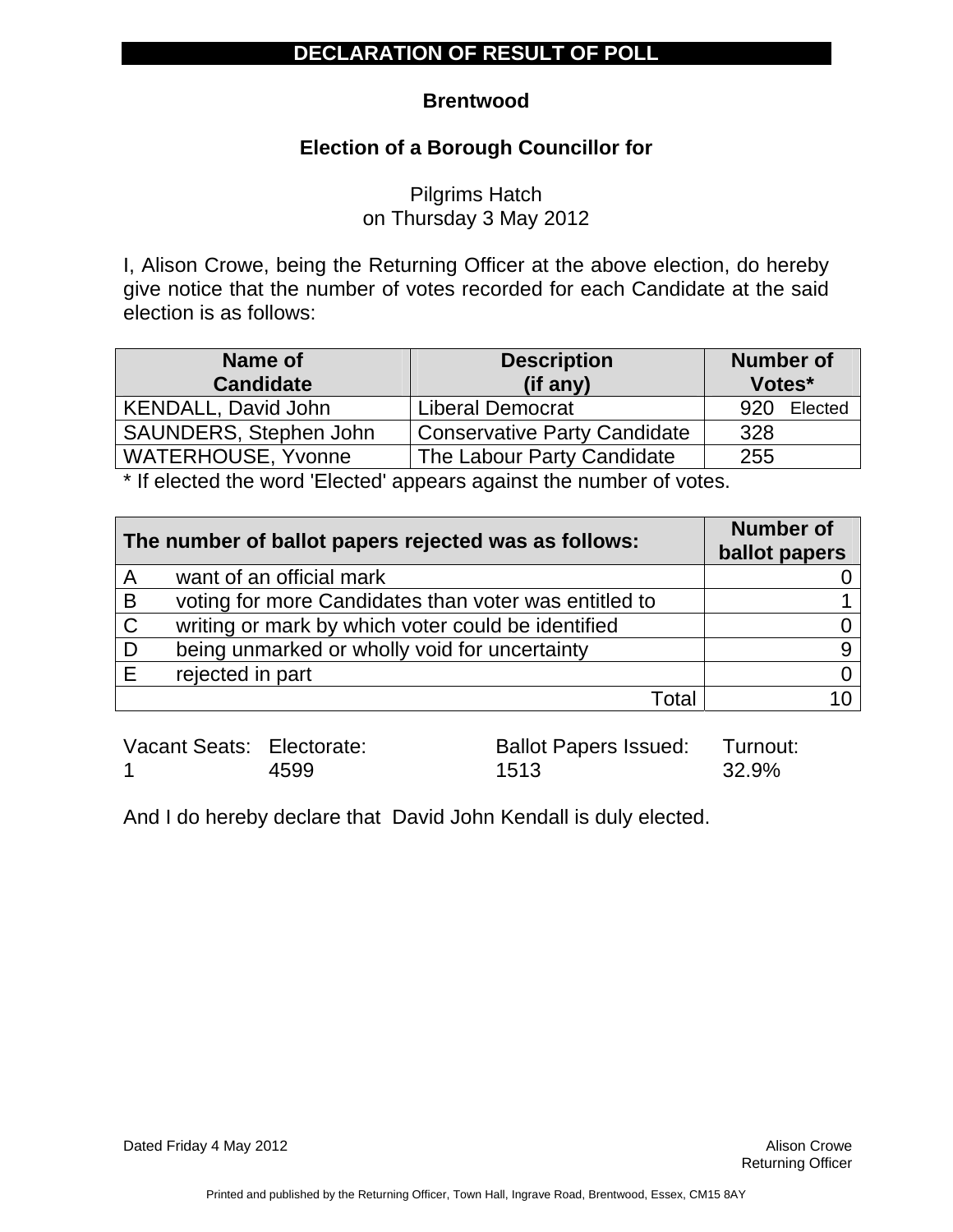#### **Brentwood**

### **Election of a Borough Councillor for**

Pilgrims Hatch on Thursday 3 May 2012

I, Alison Crowe, being the Returning Officer at the above election, do hereby give notice that the number of votes recorded for each Candidate at the said election is as follows:

| Name of<br><b>Description</b><br><b>Candidate</b><br>(if any) |                                     | <b>Number of</b><br>Votes* |
|---------------------------------------------------------------|-------------------------------------|----------------------------|
| KENDALL, David John                                           | <b>Liberal Democrat</b>             | Elected<br>920             |
| SAUNDERS, Stephen John                                        | <b>Conservative Party Candidate</b> | 328                        |
| <b>WATERHOUSE, Yvonne</b>                                     | The Labour Party Candidate          | 255                        |

\* If elected the word 'Elected' appears against the number of votes.

|              | The number of ballot papers rejected was as follows:  | <b>Number of</b><br>ballot papers |
|--------------|-------------------------------------------------------|-----------------------------------|
| A            | want of an official mark                              |                                   |
| B            | voting for more Candidates than voter was entitled to |                                   |
| $\mathsf{C}$ | writing or mark by which voter could be identified    |                                   |
| D            | being unmarked or wholly void for uncertainty         |                                   |
| F            | rejected in part                                      |                                   |
|              | Total                                                 |                                   |

Vacant Seats: Electorate: 1 4599 Ballot Papers Issued: 1513

Turnout: 32.9%

And I do hereby declare that David John Kendall is duly elected.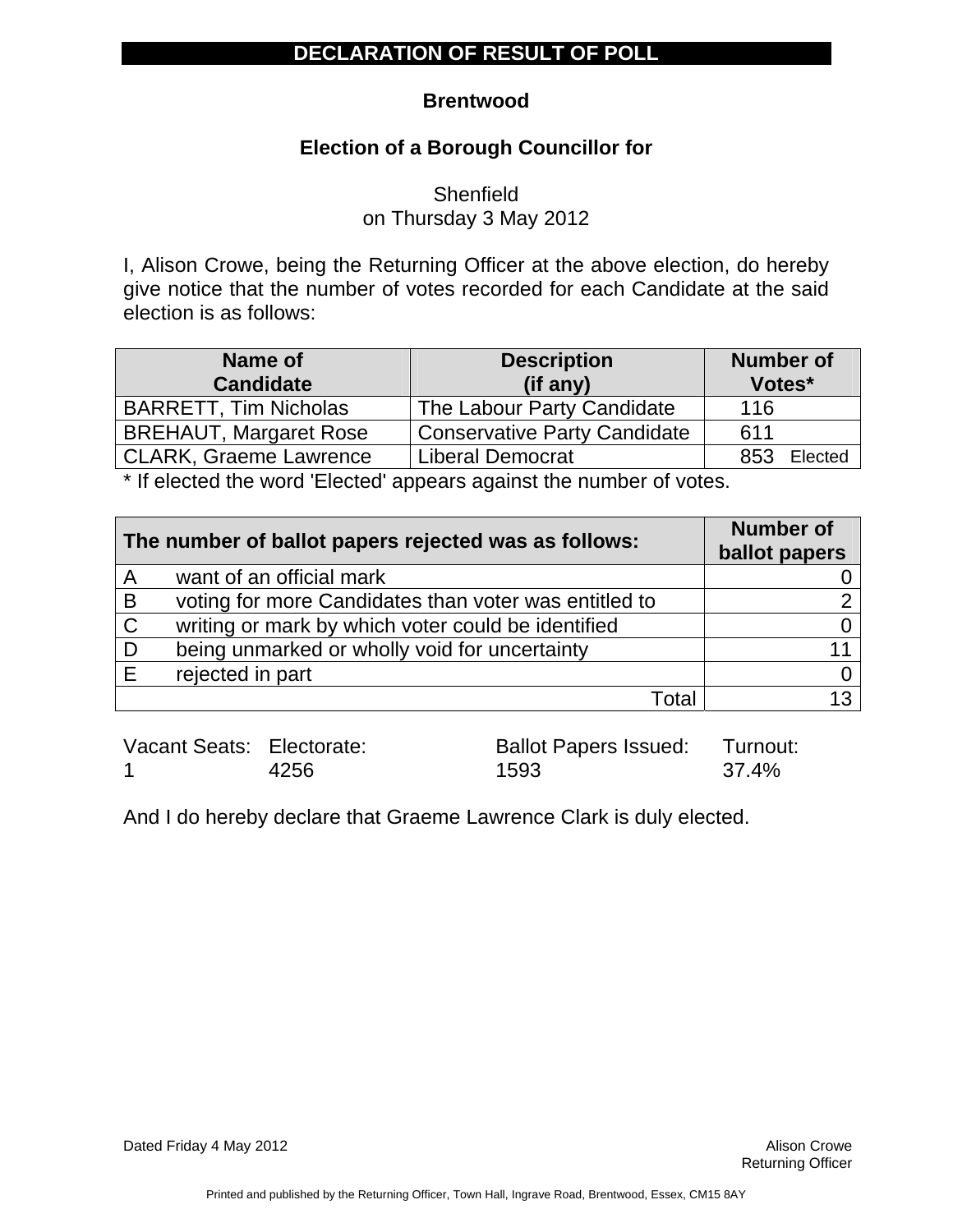#### **Brentwood**

### **Election of a Borough Councillor for**

**Shenfield** on Thursday 3 May 2012

I, Alison Crowe, being the Returning Officer at the above election, do hereby give notice that the number of votes recorded for each Candidate at the said election is as follows:

| Name of<br><b>Candidate</b>   | <b>Description</b><br>$(if$ any)    | <b>Number of</b><br>Votes* |
|-------------------------------|-------------------------------------|----------------------------|
| <b>BARRETT, Tim Nicholas</b>  | The Labour Party Candidate          | 116                        |
| <b>BREHAUT, Margaret Rose</b> | <b>Conservative Party Candidate</b> | 611                        |
| <b>CLARK, Graeme Lawrence</b> | <b>Liberal Democrat</b>             | Elected<br>853             |

\* If elected the word 'Elected' appears against the number of votes.

| The number of ballot papers rejected was as follows: |                                                       | <b>Number of</b><br>ballot papers |
|------------------------------------------------------|-------------------------------------------------------|-----------------------------------|
| A                                                    | want of an official mark                              |                                   |
| B                                                    | voting for more Candidates than voter was entitled to |                                   |
| $\mathsf{C}$                                         | writing or mark by which voter could be identified    |                                   |
| D                                                    | being unmarked or wholly void for uncertainty         |                                   |
| E                                                    | rejected in part                                      |                                   |
|                                                      | Total                                                 | 13                                |

Vacant Seats: Electorate: 1 4256

Ballot Papers Issued: 1593 Turnout: 37.4%

And I do hereby declare that Graeme Lawrence Clark is duly elected.

Dated Friday 4 May 2012 **Alison Crowe Alison Crowe Alison Crowe**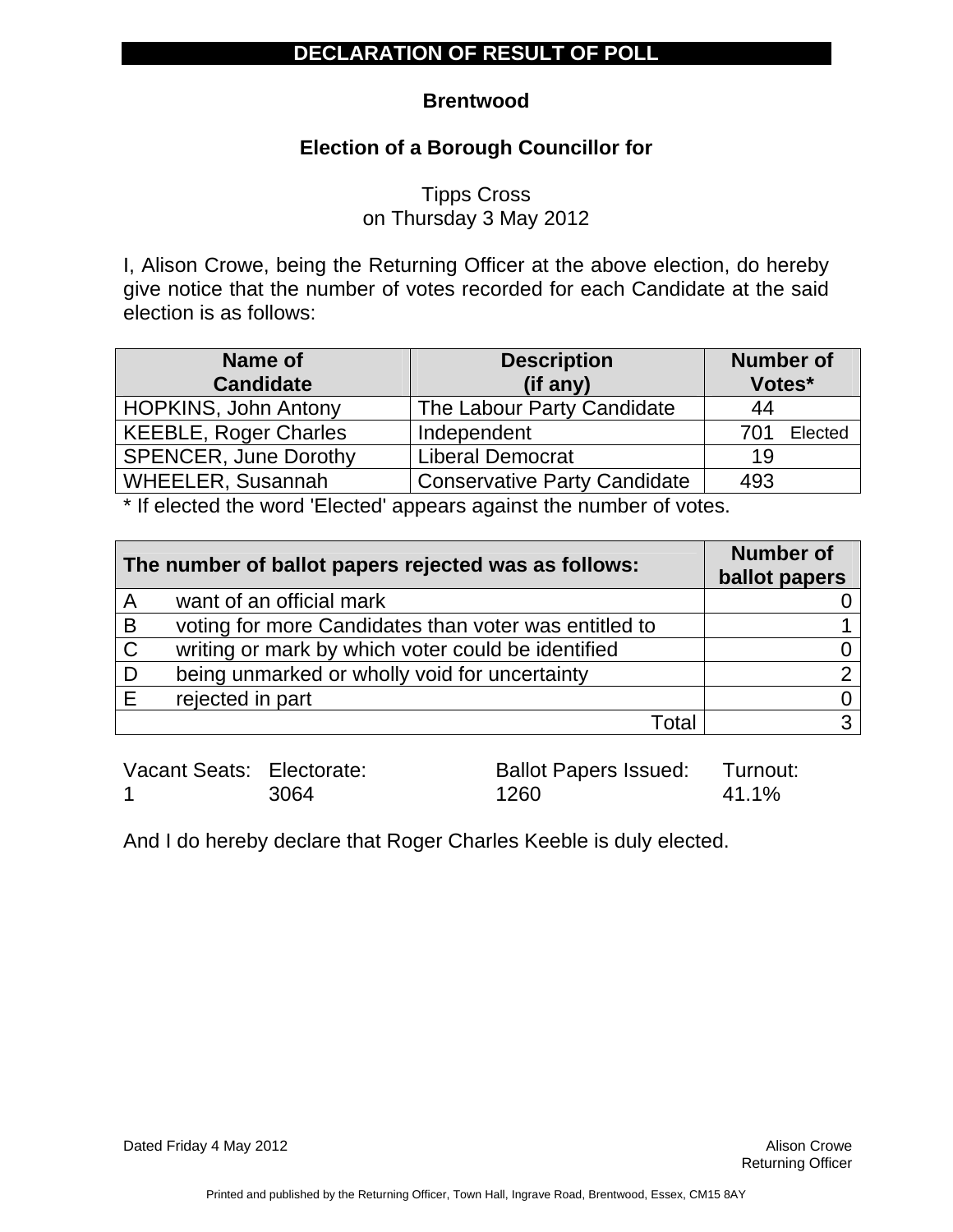### **Brentwood**

## **Election of a Borough Councillor for**

Tipps Cross on Thursday 3 May 2012

I, Alison Crowe, being the Returning Officer at the above election, do hereby give notice that the number of votes recorded for each Candidate at the said election is as follows:

| Name of                      | <b>Description</b>                  |        | <b>Number of</b> |  |
|------------------------------|-------------------------------------|--------|------------------|--|
| <b>Candidate</b>             | (if any)                            | Votes* |                  |  |
| <b>HOPKINS, John Antony</b>  | The Labour Party Candidate          | 44     |                  |  |
| <b>KEEBLE, Roger Charles</b> | Independent                         | 701    | Elected          |  |
| <b>SPENCER, June Dorothy</b> | <b>Liberal Democrat</b>             | 19     |                  |  |
| <b>WHEELER, Susannah</b>     | <b>Conservative Party Candidate</b> | 493    |                  |  |

\* If elected the word 'Elected' appears against the number of votes.

| The number of ballot papers rejected was as follows: |                                                       | <b>Number of</b><br>ballot papers |
|------------------------------------------------------|-------------------------------------------------------|-----------------------------------|
| A                                                    | want of an official mark                              |                                   |
| B                                                    | voting for more Candidates than voter was entitled to |                                   |
| $\mathsf{C}$                                         | writing or mark by which voter could be identified    |                                   |
|                                                      | being unmarked or wholly void for uncertainty         |                                   |
|                                                      | rejected in part                                      |                                   |
|                                                      | Total                                                 | ◠                                 |

| Vacant Seats: Electorate: |      | Ballot Papers Issued: Turnout: |       |
|---------------------------|------|--------------------------------|-------|
|                           | 3064 | 1260                           | 41.1% |

And I do hereby declare that Roger Charles Keeble is duly elected.